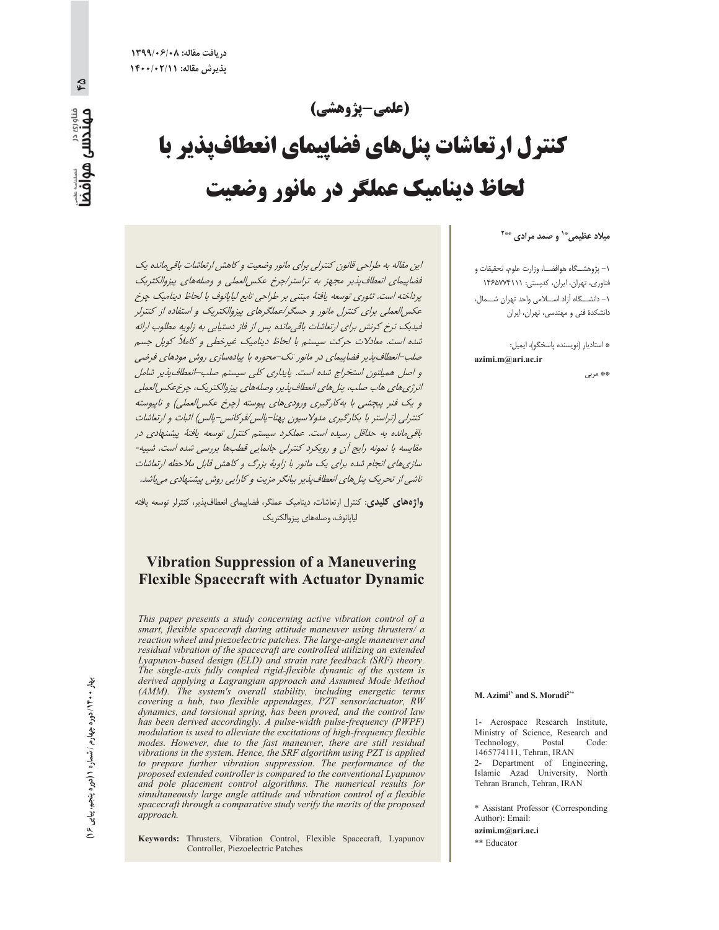$\mathfrak{p}$ 

<sub>میاوری در</sub><br>**مهندسی هوافض** 

# (علمي-يژوهشي)

# كنترل ارتعاشات ينلهاي فضاييماي انعطافيذير با لحاظ دینامیک عملگر در مانور وضعیت

میلاد عظیمی\*۱ و صمد مرادی \*\*۲

١– پژوهشـگاه هوافضــا، وزارت علوم، تحقيقات و فناوری، تهران، ایران، کدپستی: ١۴۶۵٧٧۴١١١ ١- دانشـــگاه آزاد اســـلامى واحد تهران شـــمال، دانشکدهٔ فنی و مهندسی، تهران، ایران

\* استادیار (نویسنده یاسخگو)، ایمیل: azimi.m@ari.ac.ir

\*\* مربى

### فضاییمای انعطاف پذیر مجهز به تراستر/چرخ عکس العملی و وصلههای پیزوالکتریک پرداخته است. تئوري توسعه يافتهٔ مبتني بر طراحي تابع لياپانوف با لحاظ ديناميک چرخ عکس العملی برای کنترل مانور و حسگر/عملگرهای پیزوالکتریک و استفاده از کنترلر فیدیک نرخ کرنش برای ارتعاشات باقی مانده پس از فاز دستیابی به زاویه مطلوب ارائه شده است. معادلات حرکت سیستم با لحاظ دینامیک غیرخطی و کاملاً کوپل جسم صلب–انعطاف پذیر فضاپیمای در مانور تک–محوره با پیادهسازی روش مودهای فرضی و اصل همیلتون استخراج شده است. پایداری کلی سیستم صلب انعطاف پذیر شامل انرژي هاي هاب صلب، پنل هاي انعطاف پذير، وصلههاي پيزوالكتريك، چرخ عكس العملي و یک فنر پیچشی با به کارگیری ورودی های پیوسته (چرخ عکس العملی) و ناپیوسته کنترلی (تراستر با بکارگیری مدولاسیون پهنا-پالس/فرکانس-پالس) اثبات و ارتعاشات باقی مانده به حداقل رسیده است. عملکرد سیستم کنترل توسعه یافتهٔ پیشنهادی در مقایسه با نمونه رایج آن و رویکرد کنترلی جانمایی قطبها بررسی شده است. شبیه-سازی های انجام شده برای یک مانور با زاویهٔ بزرگ و کاهش قابل ملاحظه ارتعاشات ناشی از تحریک پنلهای انعطاف پذیر بیانگر مزیت و کارایی روش پیشنهادی می باشد.

این مقاله به طراحی قانون کنترلی برای مانور وضعیت و کاهش ارتعاشات باقی مانده یک

واژههای کلیدی: کنترل ارتعاشات، دینامیک عملگر، فضاییمای انعطاف پذیر، کنترلر توسعه یافته ليايانوف، وصلههاى ييزوالكتريك

# **Vibration Suppression of a Maneuvering Flexible Spacecraft with Actuator Dynamic**

This paper presents a study concerning active vibration control of a smart, flexible spacecraft during attitude maneuver using thrusters/ a reaction wheel and piezoelectric patches. The large-angle maneuver and residual vibration of the spacecraft are controlled utilizing an extended Lyapunov-based design (ELD) and strain rate feedback (SRF) theory. The single-axis fully coupled rigid-flexible dynamic of the system is derived applying a Lagrangian approach and Assumed Mode Method (AMM). The system's overall stability, including energetic terms covering a hub, two flexible appendages, PZT sensor/actuator, RW dynamics, and torsional spring, has been proved, and the control law has been derived accordingly. A pulse-width pulse-frequency (PWPF) modulation is used to alleviate the excitations of high-frequency flexible modes. However, due to the fast maneuver, there are still residual vibrations in the system. Hence, the SRF algorithm using PZT is applied to prepare further vibration suppression. The performance of the proposed extended controller is compared to the conventional Lyapunov and pole placement control algorithms. The numerical results for simultaneously large angle attitude and vibration control of a flexible spacecraft through a comparative study verify the merits of the proposed approach.

Keywords: Thrusters, Vibration Control, Flexible Spacecraft, Lyapunov Controller, Piezoelectric Patches

M. Azimi<sup>1\*</sup> and S. Moradi<sup>2\*\*</sup>

1- Aerospace Research Institute, Ministry of Science, Research and Technology, Postal Code: 1465774111, Tehran, IRAN 2- Department of Engineering, Islamic Azad University, North Tehran Branch, Tehran, IRAN

\* Assistant Professor (Corresponding Author): Email:

azimi.m@ari.ac.i

\*\* Educator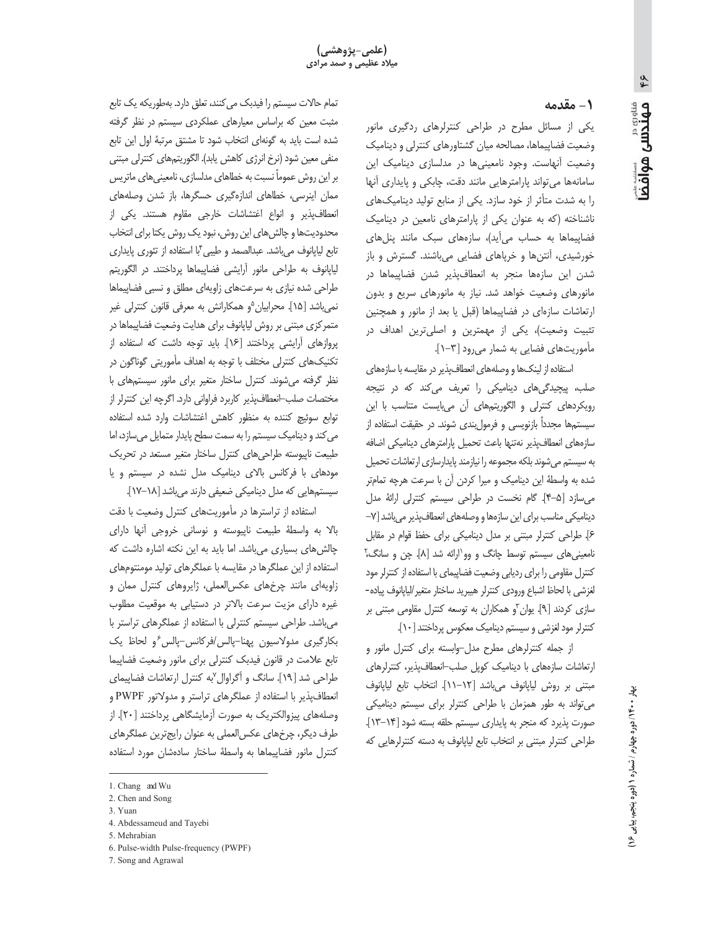## 1 – مقدمه

 $\frac{\alpha}{\gamma}$ 

مهندس موافض

فناوری در

یکی از مسائل مطرح در طراحی کنترلرهای ردگیری مانور وضعیت فضاییماها، مصالحه میان گشتاورهای کنترلی و دینامیک وضعیت آنهاست. وجود نامعینی ها در مدلسازی دینامیک این سامانهها می تواند پارامترهایی مانند دقت، چابکی و پایداری آنها را به شدت متأثر از خود سازد. یکی از منابع تولید دینامیکهای ناشناخته (که به عنوان یکی از پارامترهای نامعین در دینامیک فضاییماها به حساب می آید)، سازمهای سبک مانند پنلهای خورشیدی، آنتنها و خرپاهای فضایی میباشند. گسترش و باز شدن این سازهها منجر به انعطافپذیر شدن فضاپیماها در مانورهای وضعیت خواهد شد. نیاز به مانورهای سریع و بدون ارتعاشات سازهای در فضاپیماها (قبل یا بعد از مانور و همچنین تثبیت وضعیت)، یکی از مهمترین و اصلیترین اهداف در مأموريتهاى فضايي به شمار مىرود [٣-١].

استفاده از لینکها و وصلههای انعطاف پذیر در مقایسه با سازههای صلب، پیچیدگیهای دینامیکی را تعریف میکند که در نتیجه رویکردهای کنترلی و الگوریتمهای آن می بایست متناسب با این سیستمها مجدداً بازنویسی و فرمول بندی شوند. در حقیقت استفاده از سازههاى انعطاف پذير نهتنها باعث تحميل پارامترهاى ديناميكى اضافه به سیستم میشوند بلکه مجموعه را نیازمند پایدارسازی ارتعاشات تحمیل شده به واسطهٔ این دینامیک و میرا کردن آن با سرعت هرچه تمامتر می سازد [۵-۴]. گام نخست در طراحی سیستم کنترلی ارائهٔ مدل دینامیکی مناسب برای این سازهها و وصلههای انعطاف پذیر می باشد [۷– ۶]. طراحی کنترلر مبتنی بر مدل دینامیکی برای حفظ قوام در مقابل نامعینی های سیستم توسط چانگ و وو ارائه شد [۸]. چن و سانگ، كنترل مقاومي را براي رديابي وضعيت فضاييماي با استفاده از كنترلر مود لغزشي با لحاظ اشباع ورودي كنترلر هيبريد ساختار متغير /ليايانوف يياده-سازی کردند [۹]. یوان ّو همکاران به توسعه کنترل مقاومی مبتنی بر كنترلر مود لغزشى و سيستم ديناميك معكوس پرداختند [١٠].

از جمله کنترلرهای مطرح مدل-وابسته برای کنترل مانور و ارتعاشات سازههای با دینامیک کوپل صلب-انعطافپذیر، کنترلرهای مبتنى بر روش لياپانوف مى باشد [١٢-١١]. انتخاب تابع ليايانوف می تواند به طور همزمان با طراحی کنترلر برای سیستم دینامیکی صورت پذیرد که منجر به پایداری سیستم حلقه بسته شود [۱۴-۱۳]. طراحی کنترلر مبتنی بر انتخاب تابع لیاپانوف به دسته کنترلرهایی که

تمام حالات سیستم را فیدبک می کنند، تعلق دارد. بهطوریکه یک تابع مثبت معین که براساس معیارهای عملکردی سیستم در نظر گرفته شده است باید به گونهای انتخاب شود تا مشتق مرتبهٔ اول این تابع منفی معین شود (نرخ انرژی کاهش یابد). الگوریتمهای کنترلی مبتنی بر این روش عموماً نسبت به خطاهای مدلسازی، نامعینیهای ماتریس ممان اینرسی، خطاهای اندازهگیری حسگرها، باز شدن وصلههای انعطاف پذیر و انواع اغتشاشات خارجی مقاوم هستند. یکی از محدودیتها و چالش های این روش، نبود یک روش یکتا برای انتخاب تابع لیاپانوف میباشد. عبدالصمد و طیبی ٌبا استفاده از تئوری پایداری لیاپانوف به طراحی مانور اّرایشی فضاپیماها پرداختند. در الگوریتم طراحی شده نیازی به سرعتهای زاویهای مطلق و نسبی فضاپیماها نمي باشد [١۵]. محرابيان <sup>٥</sup>و همكارانش به معرفي قانون كنترلي غير متمرکزی مبتنی بر روش لپایانوف برای هدایت وضعیت فضاییماها در يروازهاى آرايشى يرداختند [1۶]. بايد توجه داشت كه استفاده از تکنیکهای کنترلی مختلف با توجه به اهداف مأموریتی گوناگون در نظر گرفته می شوند. کنترل ساختار متغیر برای مانور سیستمهای با مختصات صلب–انعطاف پذیر کاربرد فراوانی دارد. اگرچه این کنترلر از توابع سوئيچ كننده به منظور كاهش اغتشاشات وارد شده استفاده می کند و دینامیک سیستم را به سمت سطح پایدار متمایل می سازد، اما طبیعت ناییوسته طراحی های کنترل ساختار متغیر مستعد در تحریک مودهای با فرکانس بالای دینامیک مدل نشده در سیستم و یا سیستمهایی که مدل دینامیکی ضعیفی دارند میباشد [۱۸–۱۷].

استفاده از تراسترها در مأموریتهای کنترل وضعیت با دقت بالا به واسطهٔ طبیعت ناپیوسته و نوسانی خروجی آنها دارای چالش های بسیاری میباشد. اما باید به این نکته اشاره داشت که استفاده از این عملگرها در مقایسه با عملگرهای تولید مومنتومهای زاویهای مانند چرخهای عکسالعملی، ژاپروهای کنترل ممان و غیره دارای مزیت سرعت بالاتر در دستیابی به موقعیت مطلوب میباشد. طراحی سیستم کنترلی با استفاده از عملگرهای تراستر با بكارگیری مدولاسیون پهنا-پالس/فركانس-پالس<sup>۶</sup>و لحاظ یک تابع علامت در قانون فيدبك كنترلى براى مانور وضعيت فضاپيما طراحی شد [١٩]. سانگ و أگراوال ٌبه كنترل ارتعاشات فضاپیمای انعطاف پذیر با استفاده از عملگرهای تراستر و مدولاتور PWPF و وصلههای پیزوالکتریک به صورت آزمایشگاهی پرداختند [۲۰]. از طرف دیگر، چرخهای عکس|لعملی به عنوان رایجترین عملگرهای كنترل مانور فضاپيماها به واسطهٔ ساختار سادهشان مورد استفاده

<sup>1.</sup> Chang and Wu

<sup>2.</sup> Chen and Song

<sup>3.</sup> Yuan

<sup>4.</sup> Abdessameud and Tayebi

<sup>5</sup> Mehrahian

<sup>6.</sup> Pulse-width Pulse-frequency (PWPF)

<sup>7.</sup> Song and Agrawal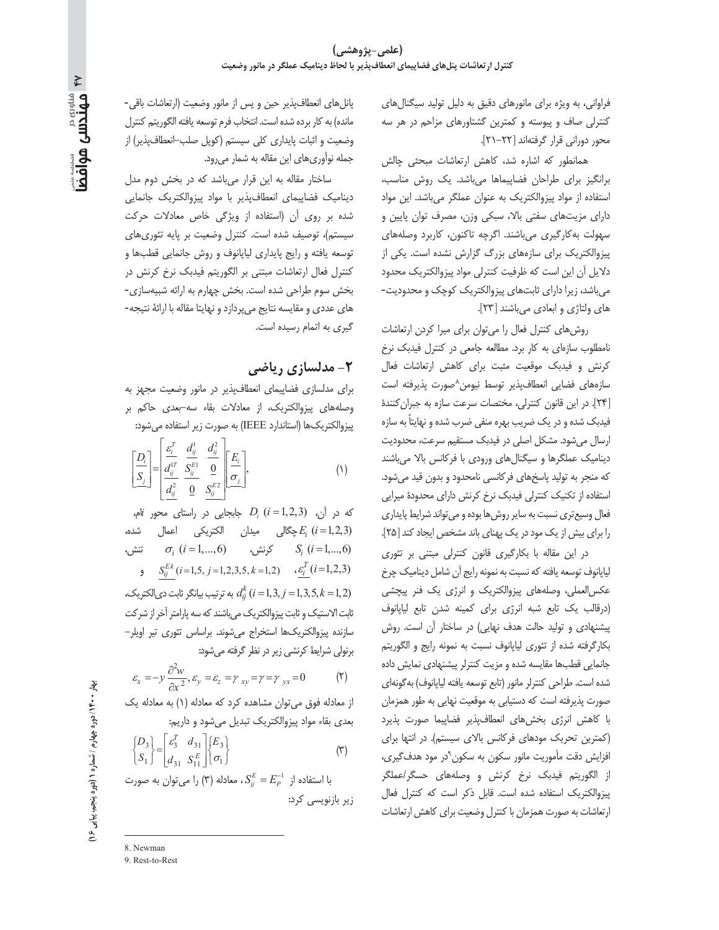#### (علمی-پژوهشی) کنترل ار تعاشات پنلهای فضاپیمای انعطافپذیر با لحاظ دینامیک عملگر در مانور وضعیت

فراوانی، به ویژه برای مانورهای دقیق به دلیل تولید سیگنالهای کنترلی صاف و پیوسته و کمترین گشتاورهای مزاحم در هر سه محور دوراني قرار گرفتهاند [۲۲–۲۱].

همانطور كه اشاره شد، كاهش ارتعاشات مبحثى چالش برانگیز برای طراحان فضاپیماها میباشد. یک روش مناسب، استفاده از مواد پیزوالکتریک به عنوان عملگر میباشد. این مواد دارای مزیتهای سفتی بالا، سبکی وزن، مصرف توان پایین و سهولت به كارگيرى مى باشند. اگرچه تاكنون، كاربرد وصلههاى پیزوالکتریک برای سازههای بزرگ گزارش نشده است. یکی از دلایل آن این است که ظرفیت کنترلی مواد پیزوالکتریک محدود می باشد، زیرا دارای ثابتهای پیزوالکتریک کوچک و محدودیت-های ولتاژی و ابعادی می باشند [٢٣].

روش های کنترل فعال را میتوان برای میرا کردن ارتعاشات نامطلوب سازهای به کار برد. مطالعه جامعی در کنترل فیدبک نرخ كرنش و فيدبك موقعيت مثبت براي كاهش ارتعاشات فعال سازمهای فضایی انعطاف یذیر توسط نیومن^صورت پذیرفته است [٢۴]. در این قانون کنترلی، مختصات سرعت سازه به جبران کنندهٔ فیدبک شده و در یک ضریب بهره منفی ضرب شده و نهایتاً به سازه ارسال می شود. مشکل اصلی در فیدبک مستقیم سرعت، محدودیت دینامیک عملگرها و سیگنالهای ورودی با فرکانس بالا میباشند كه منجر به توليد پاسخهاى فركانسى نامحدود و بدون قيد مى شود. استفاده از تكنيك كنترلى فيدبك نرخ كرنش داراى محدودة ميرايي فعال وسیع تری نسبت به سایر روش ها بوده و می تواند شرایط پایداری را برای بیش از یک مود در یک پهنای باند مشخص ایجاد کند [۲۵].

در این مقاله با بکارگیری قانون کنترلی مبتنی بر تئوری لياپانوف توسعه يافته كه نسبت به نمونه رايج آن شامل ديناميك چرخ عکسالعملی، وصلههای پیزوالکتریک و انرژی یک فنر پیچشی (درقالب یک تابع شبه انرژی برای کمینه شدن تابع لیاپانوف پیشنهادی و تولید حالت هدف نهایی) در ساختار آن است. روش بكارگرفته شده از تئوري لياپانوف نسبت به نمونه رايج و الگوريتم جانمایی قطبها مقایسه شده و مزیت کنترلر پیشنهادی نمایش داده شده است. طراحی کنترلر مانور (تابع توسعه یافته لیاپانوف) بهگونهای صورت پذیرفته است که دستیابی به موقعیت نهایی به طور همزمان با كاهش انرژى بخشهاى انعطاف پذير فضاپيما صورت پذيرد (کمترین تحریک مودهای فرکانس بالای سیستم). در انتها برای افزایش دقت مأموریت مانور سکون به سکون<sup>۹</sup>در مود هدف *گ*یری، از الگوریتم فیدبک نرخ کرنش و وصلههای حسگر/عملگر پیزوالکتریک استفاده شده است. قابل ذکر است که کنترل فعال ارتعاشات به صورت همزمان با كنترل وضعيت براي كاهش ارتعاشات

پانلهای انعطافپذیر حین و پس از مانور وضعیت (ارتعاشات باقی-مانده) به كار برده شده است. انتخاب فرم توسعه يافته الگوريتم كنترل وضعيت و اثبات پايداري كلي سيستم (كوپل صلب-انعطافپذير) از جمله نوآوریهای این مقاله به شمار میرود.

ساختار مقاله به این قرار میباشد که در بخش دوم مدل دینامیک فضاپیمای انعطافپذیر با مواد پیزوالکتریک جانمایی شده بر روی آن (استفاده از ویژگی خاص معادلات حرکت سیستم)، توصیف شده است. کنترل وضعیت بر پایه تئوریهای توسعه یافته و رایج پایداری لیاپانوف و روش جانمایی قطبها و كنترل فعال ارتعاشات مبتنى بر الگوريتم فيدبك نرخ كرنش در بخش سوم طراحی شده است. بخش چهارم به ارائه شبیهسازی-های عددی و مقایسه نتایج میپردازد و نهایتا مقاله با ارائهٔ نتیجه-گیری به اتمام رسیده است.

## ۲- مدلسازی ریاضی

برای مدلسازی فضاپیمای انعطاف پذیر در مانور وضعیت مجهز به وصلههای پیزوالکتریک، از معادلات بقاء سه-بعدی حاکم بر پیزوالکتریکها (استاندارد IEEE) به صورت زیر استفاده می شود:

$$
\left[\frac{D_i}{S_j}\right] = \left[\frac{\epsilon_i^T}{d_{ij}^{1T}} \frac{d_{ij}^1}{S_{ij}^{E1}} \frac{d_{ij}^2}{Q} \right] \frac{E_i}{\sigma_j}, \qquad (1)
$$

که در آن،  $D_i$   $(i = 1, 2, 3)$  جابجایی در راستای محور نام، شدہ،  $E_i$  ( $i = 1, 2, 3$ ) میدان الکتریکی اعمال شدہ،  $S_i$   $(i = 1, ..., 6)$ کرنش،  $\sigma_i$  ( $i = 1,...,6$ ) تنش  $S_{ii}^{Ek}$  (i=1,5, j=1,2,3,5, k=1,2)  $\epsilon_i^T$  (i=1,2,3) به ترتیب بیانگر ثابت دی|لکتریک $d_{ij}^k$  ( $i=1,3,j=1,3,5,k=1,2$ ) ثابت الاستیک و ثابت پیزوالکتریک می باشند که سه پارامتر آخر از شرکت سازنده ييزوالكتريكها استخراج مىشوند. براساس تئورى تير اويلر-برنولی شرایط کرنشی زیر در نظر گرفته می شود:

$$
\varepsilon_{x} = -y \frac{\partial^2 w}{\partial x^2}, \varepsilon_{y} = \varepsilon_{z} = \gamma_{xy} = \gamma = \gamma_{yx} = 0
$$
 (7)

$$
\begin{Bmatrix} D_3 \\ S_1 \end{Bmatrix} = \begin{bmatrix} \varepsilon_3^T & d_{31} \\ d_{31} & S_{11}^T \end{bmatrix} \begin{Bmatrix} E_3 \\ \sigma_1 \end{Bmatrix}
$$
 (7)

با استفاده از 
$$
S_{ij}^E = E_P^{-1}
$$
 استفاده (۳) را میتوان به صورت  
زیر بازنویسی کرد:

8 Newman

<sup>9</sup> Rest-to-Rest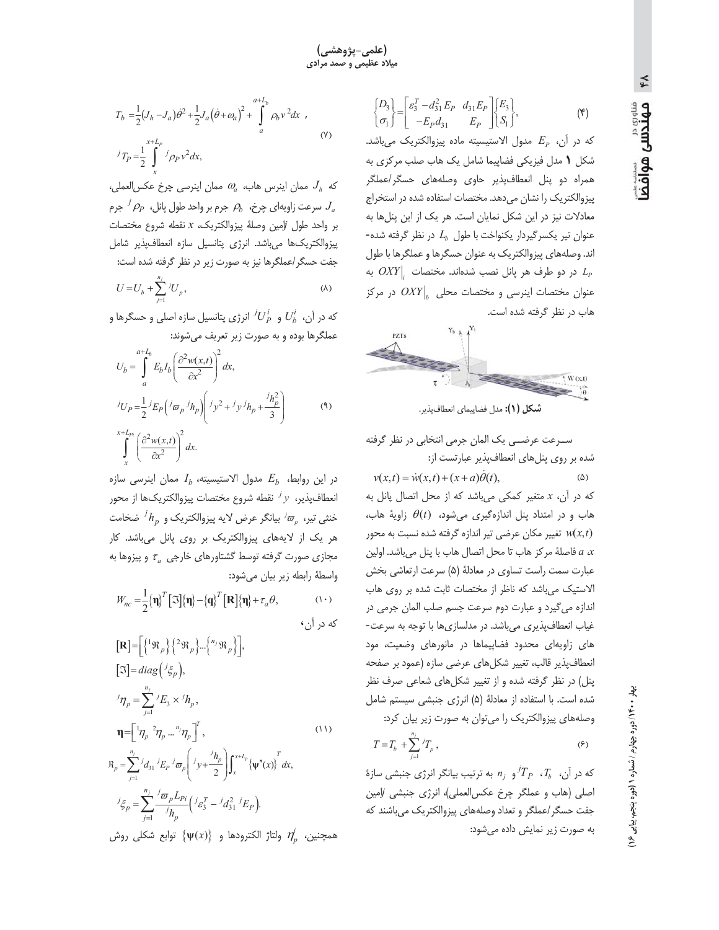$$
T_b = \frac{1}{2} (J_h - J_a) \dot{\theta}^2 + \frac{1}{2} J_a (\dot{\theta} + \omega_a)^2 + \int_a^{a + L_b} \rho_b v^2 dx ,
$$
  

$$
J T_p = \frac{1}{2} \int_J^{a + L_p} J \rho_p v^2 dx,
$$
 (Y)

که  $J_h$  ممان اینرس هاب،  $\omega_a$  ممان اینرسی چرخ عکس|لعملی، سرعت زاويهاي چرخ،  $\rho_{\scriptscriptstyle\! h}$  جرم بر واحد طول پانل،  $\rho_{\scriptscriptstyle\! P}$  جرم  $J_{\scriptscriptstyle\! a}$ بر واحد طول  $j$ امین وصلهٔ پیزوالکتریک، x نقطه شروع مختصات پیزوالکتریکها میباشد. انرژی پتانسیل سازه انعطافپذیر شامل جفت حسگر /عملگرها نیز به صورت زیر در نظر گرفته شده است:

$$
U = U_b + \sum_{j=1}^{n_j} {}^{j}U_p, \qquad \qquad \text{(A)}
$$

که در آن،  $U_{b}^{i}$  و  ${U_{P}^{i}}$  انرژی پتانسیل سازه اصلی و حسگرها و عملگرها بوده و به صورت زیر تعریف میشوند:

$$
U_b = \int_a^{a+L_b} E_b I_b \left( \frac{\partial^2 w(x,t)}{\partial x^2} \right)^2 dx,
$$
  
\n
$$
{}^{j}U_p = \frac{1}{2} {}^{j}E_p \left( {}^{j} \varpi_p {}^{j} h_p \right) \left( {}^{j} y^2 + {}^{j} y {}^{j} h_p + \frac{{}^{j} h_p^2}{3} \right)
$$
  
\n
$$
\int_x^{x+L_p} \left( \frac{\partial^2 w(x,t)}{\partial x^2} \right)^2 dx.
$$
\n(9)

در این روابط،  $E_b$  مدول الاستیسیته،  $I_b$  ممان اینرسی سازه انعطاف $\mu$ نير،  $y$  نقطه شروع مختصات پيزوالكتريکها از محور خنثی تیر،  $\varpi_{_{\scriptscriptstyle\cal D}}$  بیانگر عرض لایه پیزوالکتریک و  ${}^j h_{_{\scriptscriptstyle\cal D}}$  ضخامت هر یک از لایههای پیزوالکتریک بر روی پانل میباشد. کار مجازی صورت گرفته توسط گشتاورهای خارجی  $\tau_a$  و پیزوها به واسطة رابطه زير بيان مى شود:

$$
W_{nc} = \frac{1}{2} {\{\mathbf{\eta}\}}^T [\Im] {\{\mathbf{\eta}\}} - {\{\mathbf{q}\}}^T [\mathbf{R}] {\{\mathbf{\eta}\}} + \tau_a \theta,
$$
 (1.)

$$
\begin{aligned} \n\left[\mathbf{R}\right] &= \left[\left\{{}^{1}\mathfrak{R}_{p}\right\}\left\{{}^{2}\mathfrak{R}_{p}\right\}...\left\{{}^{n_{j}}\mathfrak{R}_{p}\right\}\right],\\ \n\left[\mathfrak{I}\right] &= diag\left(\left\{\frac{j}{\xi_{p}}\right\},\\ \n\frac{n_{j}}{\xi_{p}} &= \frac{n_{j}}{\xi_{p}}.\n\end{aligned}
$$

$$
{}^{J}\eta_{p} = \sum_{j=1}^{J} {}^{J}E_{3} \times {}^{J}h_{p},
$$

$$
\eta = \left[ {}^{1}\eta_{p} {}^{2}\eta_{p} ... {}^{n_{j}}\eta_{p} \right]^{T}, \qquad (11)
$$

$$
\mathcal{R}_{p} = \sum_{j=1}^{J} \frac{d_{31}^{j} E_{p}^{j} \varpi_{p}}{d x_{j}} \left( \frac{d_{31}^{j} E_{p}^{j} \varpi_{p}}{2} \right) \int_{x}^{x_{j}} {\{\psi''(x)\} dx},
$$

$$
\frac{d_{j}^{j} E_{p}}{d x_{j}} = \sum_{j=1}^{n_{j}} \frac{d_{j}^{j} E_{p}}{d x_{j}} \left( \frac{d_{j}^{j} E_{p}}{d x_{j}} - \frac{d_{j}^{2}}{d x_{j}} \right) E_{p}.
$$

همچنین،  $\eta_p^j$  ولتاژ الکترودها و  $\{\boldsymbol{\psi}(x)\}$  توابع شکلی روش

$$
\begin{Bmatrix} D_3 \\ \sigma_1 \end{Bmatrix} = \begin{bmatrix} \varepsilon_3^T - d_{31}^2 E_P & d_{31} E_P \\ -E_P d_{31} & E_P \end{bmatrix} \begin{Bmatrix} E_3 \\ S_1 \end{Bmatrix},
$$
 (5)

كه در آن،  $E_{\scriptscriptstyle{P}}$  مدول الاستيسيته ماده پيزوالكتريک مىباشد. شکل ۱ مدل فیزیکی فضاپیما شامل یک هاب صلب مرکزی به همراه دو پنل انعطافپذیر حاوی وصلههای حسگر اعملگر پیزوالکتریک را نشان میدهد. مختصات استفاده شده در استخراج معادلات نیز در این شکل نمایان است. هر یک از این پنلها به -عنوان تیر یکسرگیردار یکنواخت با طول  $L_b$  در نظر گرفته شده اند. وصلههای پیزوالکتریک به عنوان حسگرها و عملگرها با طول در دو طرف هر پانل نصب شدهاند. مختصات  $OXY|_{,}$  به  $L_{P}$ عنوان مختصات اینرسی و مختصات محلی  $OXY|_{\square}$  در مرکز هاب در نظر گرفته شده است.



شكل (١): مدل فضاييماي انعطافيذير.

سـرعت عرضــي يک المان جرمي انتخابي در نظر گرفته شده بر روى پنلهاى انعطافپذير عبارتست از:

 $v(x,t) = \dot{w}(x,t) + (x+a)\dot{\theta}(t),$  $(\Delta)$ که در آن، x متغیر کمکی میباشد که از محل اتصال پانل به هاب و در امتداد پنل اندازهگیری میشود،  $\theta(t)$  زاویهٔ هاب، تغییر مکان عرضی تیر اندازه گرفته شده نسبت به محور  $w(x,t)$ فاصلهٔ مرکز هاب تا محل اتصال هاب با پنل میباشد. اولین  $a\ x$ عبارت سمت راست تساوى در معادلهٔ (۵) سرعت ارتعاشى بخش الاستیک می باشد که ناظر از مختصات ثابت شده بر روی هاب اندازه مي گيرد و عبارت دوم سرعت جسم صلب المان جرمي در غیاب انعطافپذیری میباشد. در مدلسازیها با توجه به سرعت-های زاویهای محدود فضاپیماها در مانورهای وضعیت، مود انعطاف پذیر قالب، تغییر شکلهای عرضی سازه (عمود بر صفحه پنل) در نظر گرفته شده و از تغییر شکلهای شعاعی صرف نظر شده است. با استفاده از معادلهٔ (۵) انرژی جنبشی سیستم شامل وصلههای پیزوالکتریک را می توان به صورت زیر بیان کرد:

$$
T = T_b + \sum_{j=1}^{n_j} {}^{j}T_p , \qquad (5)
$$

که در آن،  $T_p$ ،  $T_p$ و  $n$  به ترتیب بیانگر انرژی جنبشی سازهٔ اصلي (هاب و عملگر چرخ عكس العملي)، انرژى جنبشى *المين* جفت حسگر /عملگر و تعداد وصلههای پیزوالکتریک میباشند که به صورت زیر نمایش داده می شود: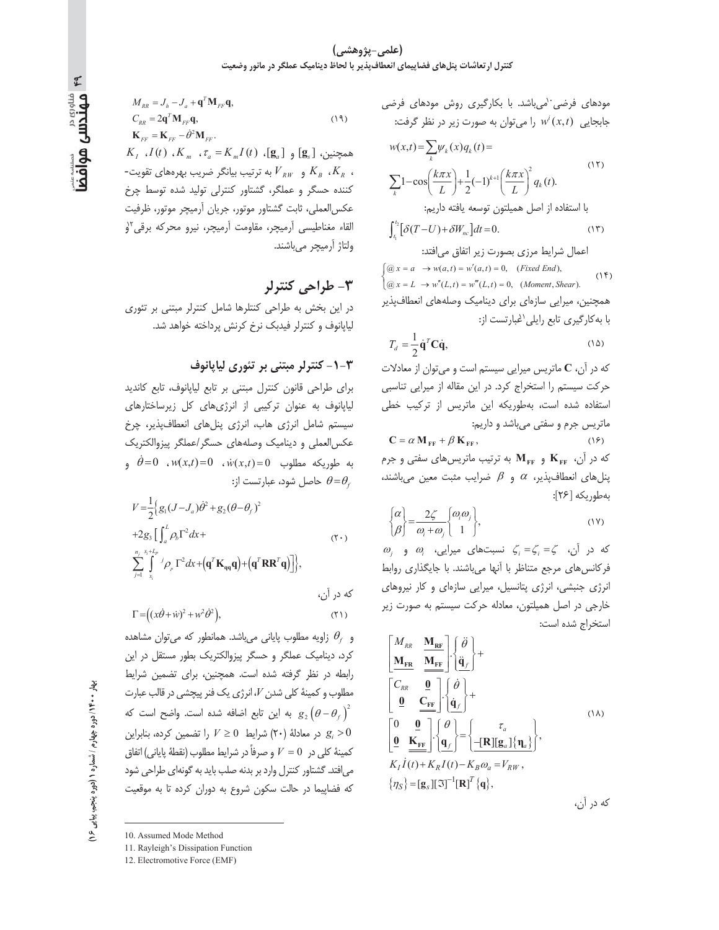#### (علمی-پژوهشی) کنترل ار تعاشات پنلهای فضاپیمای انعطافپذیر با لحاظ دینامیک عملگر در مانور وضعیت

مودهای فرضی<sup>.</sup>میباشد. با بکارگیری روش مودهای فرضی  
جابجایی (۱۹،) ۱۷ (ا میتوان به صورت زیر در نظر گرفت:  
\n
$$
W(x,t) = \sum_{k} \psi_{k}(x) q_{k}(t) =
$$
\n
$$
V_{RW} \in K_{R} \in K_{R} \in \sum_{k} 1 - \cos\left(\frac{k\pi x}{L}\right) + \frac{1}{2}(-1)^{k+1}\left(\frac{k\pi x}{L}\right)^{2} q_{k}(t).
$$
\n(17)  
\n
$$
V_{RW} \in K_{R} \in \sum_{k} 1 - \cos\left(\frac{k\pi x}{L}\right) + \frac{1}{2}(-1)^{k+1}\left(\frac{k\pi x}{L}\right)^{2} q_{k}(t).
$$
\n
$$
V_{RW} \in \mathbb{R} \text{ such that}
$$
\n
$$
V_{R} \in \mathbb{R} \text{ such that}
$$
\n
$$
V_{R} \in \mathbb{R} \text{ such that}
$$
\n
$$
V_{R} \in \mathbb{R} \text{ such that}
$$
\n
$$
V_{R} \in \mathbb{R} \text{ such that}
$$
\n
$$
V_{R} \in \mathbb{R} \text{ such that}
$$
\n
$$
V_{R} \in \mathbb{R} \text{ such that}
$$
\n
$$
V_{R} \in \mathbb{R} \text{ such that}
$$
\n
$$
V_{R} \in \mathbb{R} \text{ such that}
$$
\n
$$
V_{R} \in \mathbb{R} \text{ such that}
$$
\n
$$
V_{R} \in \mathbb{R} \text{ such that}
$$
\n
$$
V_{R} \in \mathbb{R} \text{ such that}
$$
\n
$$
V_{R} \in \mathbb{R} \text{ such that}
$$
\n
$$
V_{R} \in \mathbb{R} \text{ such that}
$$
\n
$$
V_{R} \in \mathbb{R} \text{ such that}
$$
\n
$$
V_{R} \in \mathbb{R} \text{ such that}
$$
\n
$$
V_{R} \in \mathbb{R} \text{ such that}
$$
\n
$$
V_{R} \in \mathbb{R} \
$$

 $(15)$ 

 $(11)$ 

 $(1f)$  $\bigotimes \emptyset x = L \rightarrow w''(L,t) = w'''(L,t) = 0$ , (Moment, Shear). همچنین، میرایی سازهای برای دینامیک وصلههای انعطاف پذیر با به كاركيرى تابع رايلي 'لمبارتست از:

$$
T_d = \frac{1}{2} \dot{\mathbf{q}}^T \mathbf{C} \dot{\mathbf{q}},\tag{1\Delta}
$$

که در آن، C ماتریس میرایی سیستم است و می توان از معادلات حرکت سیستم را استخراج کرد. در این مقاله از میرایی تناسبی استفاده شده است، بهطوريكه اين ماتريس از تركيب خطى ماتریس جرم و سفتی میباشد و داریم:

 $C = \alpha M_{FF} + \beta K_{FF}$ ,  $(19)$ که در آن،  $\mathbf{K}_{\text{FF}}$  و  $\mathbf{M}_{\text{FF}}$  به ترتیب ماتریس های سفتی و جرم پنلهای انعطافپذیر،  $\alpha$  و  $\beta$  ضرایب مثبت معین میباشند، بەطورىكە [۲۶]:

$$
\begin{Bmatrix} \alpha \\ \beta \end{Bmatrix} = \frac{2\zeta}{\alpha_i + \omega_j} \begin{Bmatrix} \alpha_i \omega_j \\ 1 \end{Bmatrix},
$$
 (1V)

 $\omega_i$  که در آن،  $\zeta_i = \zeta_i = \zeta_i = \zeta_i$  و  $\omega_i$ فركانس هاى مرجع متناظر با أنها مى باشند. با جايگذارى روابط انرژی جنبشی، انرژی پتانسیل، میرایی سازهای و کار نیروهای خارجی در اصل همیلتون، معادله حرکت سیستم به صورت زیر استخراج شده است:

$$
\begin{bmatrix}\nM_{RR} & \mathbf{M_{RF}} \\
\mathbf{M_{FR}} & \mathbf{M_{FF}}\n\end{bmatrix}\n\cdot\n\begin{bmatrix}\n\ddot{\theta} \\
\ddot{\mathbf{q}}_f\n\end{bmatrix} + \n\begin{bmatrix}\nC_{RR} & \mathbf{0} \\
\mathbf{0} & \mathbf{C_{FF}}\n\end{bmatrix}\n\cdot\n\begin{bmatrix}\n\dot{\theta} \\
\dot{\mathbf{q}}_f\n\end{bmatrix} + \n\begin{bmatrix}\n0 & \mathbf{0} \\
\mathbf{0} & \mathbf{K_{FF}}\n\end{bmatrix}\n\cdot\n\begin{bmatrix}\n\theta \\
\mathbf{q}_f\n\end{bmatrix} = \n\begin{bmatrix}\n\tau_a \\
-\mathbf{[R][g_a][\eta_a]}\n\end{bmatrix},
$$
\n
$$
K_I \dot{I}(t) + K_R I(t) - K_B \omega_a = V_{RW},
$$
\n
$$
\{\eta_S\} = [\mathbf{g}_S][\Im]^{-1}[\mathbf{R}]^T \{\mathbf{q}\},
$$
\n
$$
\omega \text{ is the same as } \omega \text{ is the same as } \omega \text{ is the same as } \omega \text{ is the same as } \omega \text{ is the same as } \omega \text{ is the same as } \omega \text{ is the same as } \omega \text{ is the same as } \omega \text{ is the same as } \omega \text{ is the same as } \omega \text{ is the same as } \omega \text{ is the same as } \omega \text{ is the same as } \omega \text{ is the same as } \omega \text{ is the same as } \omega \text{ is the same as } \omega \text{ is the same as } \omega \text{ is the same as } \omega \text{ is the same as } \omega \text{ is the same as } \omega \text{ is the same as } \omega \text{ is the same as } \omega \text{ is the same as } \omega \text{ is the same as } \omega \text{ is the same as } \omega \text{ is the same as } \omega \text{ is the same as } \omega \text{ is the same as } \omega \text{ is the same as } \omega \text{ is the same as } \omega \text{ is the same as } \omega \text{ is the same as } \omega \text{ is the same as } \omega \text{ is the same as } \omega \text{ is the same as } \omega \text{ is the same as } \omega \text{ is the same as } \omega \text{ is the same as } \omega \text{ is the same as } \omega \text{ is the same as } \omega
$$

$$
M_{RR} = J_h - J_a + \mathbf{q}^T \mathbf{M}_{FF} \mathbf{q},
$$
\n
$$
C_{RR} = 2\mathbf{q}^T \mathbf{M}_{FF} \mathbf{q},
$$
\n
$$
\mathbf{K}_{FF} = \mathbf{K}_{FF} - \dot{\theta}^2 \mathbf{M}_{FF}.
$$
\n
$$
K_I \cdot I(t) \cdot K_m \cdot \tau_a = K_m I(t) \cdot [\mathbf{g}_a] \mathbf{g} [\mathbf{g}_s] \cdot \dot{\mathbf{g}}_{\text{grav}}
$$
\n
$$
\ddot{\mathbf{g}}_B \cdot \ddot{\mathbf{g}}_K \cdot \ddot{\mathbf{g}}_K
$$
\n
$$
\ddot{\mathbf{g}}_B \cdot \ddot{\mathbf{g}}_K \cdot \ddot{\mathbf{g}}_K
$$
\n
$$
\ddot{\mathbf{g}}_K = \ddot{\mathbf{g}}_K \cdot \ddot{\mathbf{g}}_K
$$
\n
$$
\ddot{\mathbf{g}}_K = \ddot{\mathbf{g}}_K \cdot \ddot{\mathbf{g}}_K
$$
\n
$$
\ddot{\mathbf{g}}_K = \ddot{\mathbf{g}}_K \cdot \ddot{\mathbf{g}}_K
$$
\n
$$
\ddot{\mathbf{g}}_K = \ddot{\mathbf{g}}_K \cdot \ddot{\mathbf{g}}_K
$$
\n
$$
\ddot{\mathbf{g}}_K = \ddot{\mathbf{g}}_K \cdot \ddot{\mathbf{g}}_K
$$
\n
$$
\ddot{\mathbf{g}}_K = \ddot{\mathbf{g}}_K \cdot \ddot{\mathbf{g}}_K
$$
\n
$$
\ddot{\mathbf{g}}_K = \ddot{\mathbf{g}}_K \cdot \ddot{\mathbf{g}}_K
$$
\n
$$
\ddot{\mathbf{g}}_K = \ddot{\mathbf{g}}_K \cdot \ddot{\mathbf{g}}_K
$$
\n
$$
\ddot{\mathbf{g}}_K = \ddot{\mathbf{g}}_K \cdot \ddot{\mathbf{g}}_K
$$
\n
$$
\ddot{\mathbf{g}}_K = \ddot{\mathbf{g}}_K \cdot \ddot{\mathbf{g}}_K
$$
\n
$$
\ddot{\mathbf{g}}_K = \ddot{\mathbf{g}}_
$$

$$
-\frac{1}{2}d\mu
$$

در این بخش به طراحی کنتلرها شامل کنترلر مبتنی بر تئوری لیاپانوف و کنترلر فیدبک نرخ کرنش پرداخته خواهد شد.

### ۳-۱- کنترلر مبتنی بر تئوری لیاپانوف

برای طراحی قانون کنترل مبتنی بر تابع لیاپانوف، تابع کاندید لیاپانوف به عنوان ترکیبی از انرژیهای کل زیرساختارهای سیستم شامل انرژی هاب، انرژی پنلهای انعطافپذیر، چرخ عكس العملى وديناميك وصلههاى حسكر اعملكر پيزوالكتريك  $\dot{\theta}=0$  .  $w(x,t)=0$  .  $\dot{w}(x,t)=0$  .  $\dot{w}(x,t)=0$  . به طوریکه مطلوب خاصل شود، عبارتست از:  $\theta = \theta_f$ 

$$
V = \frac{1}{2} \Big\{ g_1 (J - J_a) \dot{\theta}^2 + g_2 (\theta - \theta_f)^2
$$
  
+2g<sub>3</sub>  $\Big[ \int_a^L \rho_b \Gamma^2 dx +$   

$$
\sum_{j=1}^{n_j} \int_{x_j}^{x_j + L_p} {}^{j} \rho_p \Gamma^2 dx + (\mathbf{q}^T \mathbf{K}_{\mathbf{q}\mathbf{q}} \mathbf{q}) + (\mathbf{q}^T \mathbf{R} \mathbf{R}^T \mathbf{q}) \Big] \Big\},
$$
  

$$
\Gamma = ((x\dot{\theta} + \dot{w})^2 + w^2 \dot{\theta}^2),
$$
 (71)

و 
$$
\theta_f
$$
 زاويه مطلوب پایانی میباشد. همانطور که میتوان مشاهده کر د، دینامیک عملگر و حسگر پیزوالکتریک بطور مستقل در این  
رابطه در نظر گرفته شده است. همچنین، برای تضمین شرایط مطلوب و کمینهٔ کلی شدن *ل*، این تابع اضفه شده است. واضح است که  
مطلوب و کمینهٔ کلی شدن *ل*، انرژی یک فنر پیچشی درده، بنابراین  
کمینهٔ کلی در 0 = *۷* و صرفاً در شرایط مطلوب (نقطهٔ پایانی) اتفاق  
کمینهٔ کلی در 0 = *۷* و صرفاً در شرایط مطلوب (نقطهٔ پایانی) اتفاق  
که فضاییما در حالت سکون شروع به دوران کرده تا به موقعیت

و مسرری در<br>**مهندسی هوافض**ا

<sup>10.</sup> Assumed Mode Method

<sup>11.</sup> Rayleigh's Dissipation Function

<sup>12.</sup> Electromotive Force (EMF)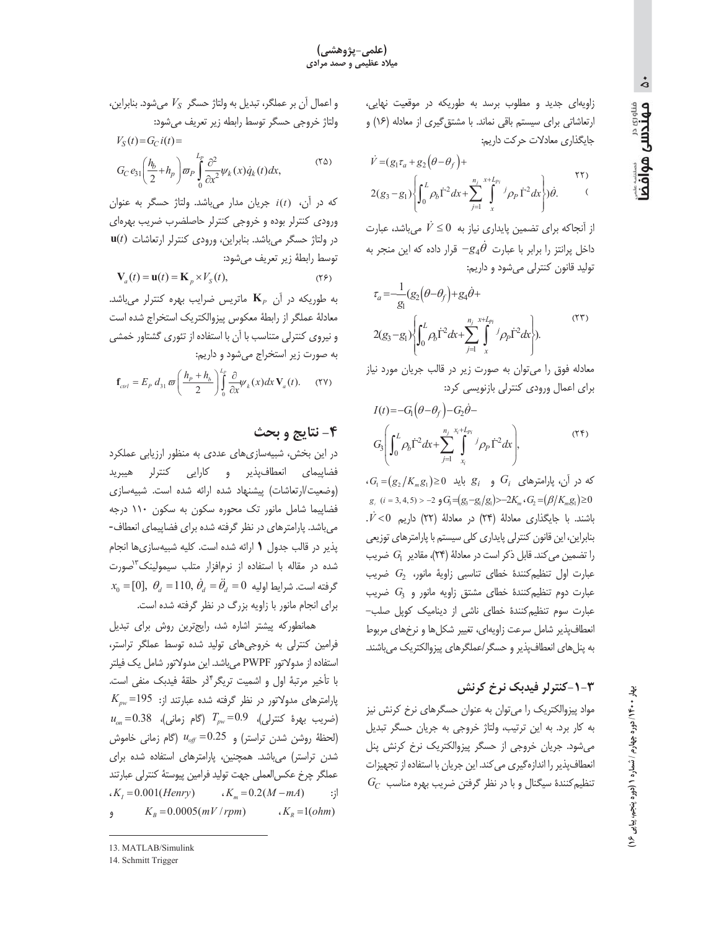مهندس موافض **GJ** 9Lio

 $\dot{\circ}$ 

زاویهای جدید و مطلوب برسد به طوریکه در موقعیت نهایی، ارتعاشاتی برای سیستم باقی نماند. با مشتق گیری از معادله (۱۶) و جایگذاری معادلات حرکت داریم:

$$
\dot{V} = (g_1 \tau_a + g_2 (\theta - \theta_f) +
$$
  
 
$$
2(g_3 - g_1) \left\{ \int_0^L \rho_b \dot{\Gamma}^2 dx + \sum_{j=1}^{n_j} \int_x^{x + L_{p_j}} \rho_p \dot{\Gamma}^2 dx \right\} \dot{\theta}.
$$

از آنجاکه برای تضمین پایداری نیاز به  $\dot{V} \leq 0$  میباشد، عبارت داخل پرانتز را برابر با عبارت  $g_4\theta$  قرار داده که این منجر به تولید قانون کنترلی می شود و داریم:

$$
\tau_a = \frac{1}{g_1} (g_2 (\theta - \theta_f) + g_4 \dot{\theta} +
$$
  

$$
2(g_3 - g_1) \left\{ \int_0^L \rho_b \dot{\Gamma}^2 dx + \sum_{j=1}^{n_j} \int_x^{x+L_p} \rho_p \dot{\Gamma}^2 dx \right\}.
$$
 (TT)

معادله فوق را می توان به صورت زیر در قالب جریان مورد نیاز برای اعمال ورودی کنترلی بازنویسی کرد:

$$
I(t) = -G_1(\theta - \theta_f) - G_2\dot{\theta} -
$$
  
\n
$$
G_3\left(\int_0^L \rho_b \dot{\Gamma}^2 dx + \sum_{j=1}^{n_j} \int_{x_j}^{x_j + L_{p_i}} \rho_p \dot{\Gamma}^2 dx\right),
$$
\n
$$
(Y^{\ast})
$$

 $G_i = (g_2/K_m g_1) \ge 0$  که در آن، پارامترهای  $G_i$  و  $g_i$  باید  $S_i$  $g_i$   $(i = 3, 4, 5) > -2$   $g_i = (g_i - g_i/g_i) > -2K_i$   $g_i = (\beta/K_i, g_i) \ge 0$  $\dot{V}$ <0 باشند. با جایگذاری معادلهٔ (۲۴) در معادلهٔ (۲۲) داریم بنابراین، این قانون کنترلی پایداری کلی سیستم با پارامترهای توزیعی را تضمین می کند. قابل ذکر است در معادلهٔ (۲۴)، مقادیر  $G_1$  ضریب عبارت اول تنظیمکنندهٔ خطای تناسبی زاویهٔ مانور،  $G_2$  ضریب عبارت دوم تنظیمکنندهٔ خطای مشتق زاویه مانور و  $G_3$  ضریب عبارت سوم تنظیمکنندهٔ خطای ناشی از دینامیک کویل صلب– انعطاف یذیر شامل سرعت زاویهای، تغییر شکلها و نرخهای مربوط به پنل های انعطاف پذیر و حسگر /عملگرهای پیزوالکتریک می باشند.

۳- ۱-کنترلر فیدبک نرخ کرنش

مواد پیزوالکتریک را می توان به عنوان حسگرهای نرخ کرنش نیز به کار برد. به این ترتیب، ولتاژ خروجی به جریان حسگر تبدیل می شود. جریان خروجی از حسگر پیزوالکتریک نرخ کرنش پنل انعطاف پذیر را اندازه گیری می کند. این جریان با استفاده از تجهیزات  $G_C$  تنظیم کنندهٔ سیگنال و با در نظر گرفتن ضریب بهره مناسب

و اعمال آن بر عملگر، تبدیل به ولتاژ حسگر  $V_S$  میشود. بنابراین،

ولتاژ خروجي حسگر توسط رابطه زير تعريف مي شود:  $V_S(t) = G_C i(t) =$ 

$$
G_C e_{31} \left(\frac{h_b}{2} + h_p\right) \varpi_P \int\limits_0^{L_p} \frac{\partial^2}{\partial x^2} \psi_k(x) \dot{q}_k(t) dx, \tag{7\Delta}
$$

که در آن،  $i(t)$  جریان مدار می باشد. ولتاژ حسگر به عنوان ورودی کنترلر بوده و خروجی کنترلر حاصلضرب ضریب بهرهای  $\mathbf{u}(t)$  در ولتاژ حسگر می باشد. بنابراین، ورودی کنترلر ارتعاشات توسط رابطهٔ زیر تعریف می شود:

$$
\mathbf{V}_a(t) = \mathbf{u}(t) = \mathbf{K}_p \times V_S(t),\tag{75}
$$

به طوریکه در آن  $\mathbf{K}_p$  ماتریس ضرایب بهره کنترلر میباشد. معادلة عملگر از رابطة معكوس پيزوالكتريك استخراج شده است و نیروی کنترلی متناسب با آن با استفاده از تئوری گشتاور خمشی به صورت زیر استخراج میشود و داریم:

$$
\mathbf{f}_{\textit{ctrl}} = E_P \, d_{31} \, \varpi \left( \frac{h_P + h_b}{2} \right) \int_0^{L_P} \frac{\partial}{\partial x} \psi_k(x) dx \, \mathbf{V}_a(t). \tag{7V}
$$

## ۴- نتایج و بحث

در این بخش، شبیهسازیهای عددی به منظور ارزیابی عملکرد فضاپیمای انعطافپذیر و کارایی کنترلر هیبرید (وضعیت/ارتعاشات) پیشنهاد شده ارائه شده است. شبیهسازی فضاپیما شامل مانور تک محوره سکون به سکون ۱۱۰ درجه میباشد. پارامترهای در نظر گرفته شده برای فضاپیمای انعطاف-پذیر در قالب جدول 1 ارائه شده است. کلیه شبیهسازی ها انجام شده در مقاله با استفاده از نرمافزار متلب سیمولینک<sup>۳</sup>صورت  $x_0 = [0], \ \theta_d = 110, \ \dot{\theta}_d = \ddot{\theta}_d = 0$  گرفته است. شرايط اوليه برای انجام مانور با زاویه بزرگ در نظر گرفته شده است.

همانطوركه پیشتر اشاره شد، رایجترین روش برای تبدیل فرامین کنترلی به خروجیهای تولید شده توسط عملگر تراستر، استفاده از مدولاتور PWPF میباشد. این مدولاتور شامل یک فیلتر با تأخیر مرتبهٔ اول و اشمیت تریگر<sup>۴</sup>لار حلقهٔ فیدبک منفی است.  $K_{\scriptscriptstyle pw}$  پارامترهای مدولاتور در نظر گرفته شده عبارتند از: 195 $\,$  $u_{on} = 0.38$  (ضریب بھرۂ کنترلی)،  $T_{pv} = 0.9$  (گام زمانی) (لحظة روشن شدن تراستر) و  $u_{\text{off}} = 0.25$  (گام زمانی خاموش شدن تراستر) می باشد. همچنین، پارامترهای استفاده شده برای عملگر چرخ عكس|لعملي جهت توليد فرامين پيوستهٔ كنترلي عبارتند  $K_1 = 0.001(Henry)$   $K_m = 0.2(M - mA)$  $\cdot$  : ;  $K_B = 0.0005(mV/rpm)$   $\qquad$   $K_R = 1(ohm)$ 

<sup>13.</sup> MATLAB/Simulink

<sup>14.</sup> Schmitt Trigger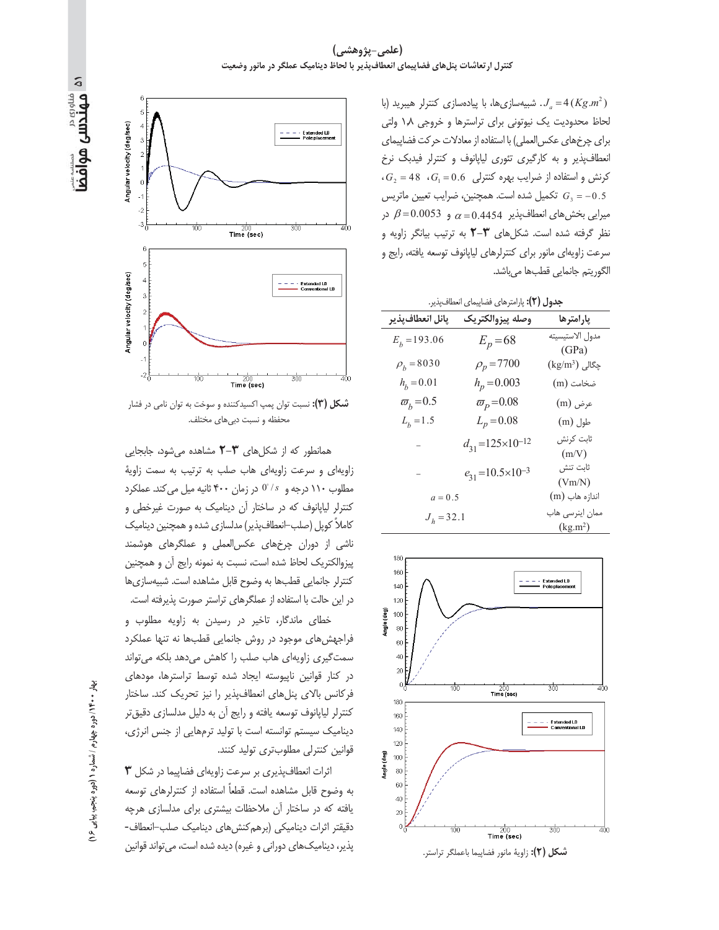(علمی-پژوهشی) کنترل ار تعاشات پنلهای فضاپیمای انعطافپذیر با لحاظ دینامیک عملگر در مانور وضعیت

ا پیادهسازی ها، با پیادهسازی کنترلر هیبرید. (با  $J_a = 4(Kg.m^2)$ لحاظ محدودیت یک نیوتونی برای تراسترها و خروجی ۱٫۸ ولتی برای چرخهای عکسالعملی) با استفاده از معادلات حرکت فضاپیمای انعطاف پذیر و به کارگیری تئوری لیاپانوف و کنترلر فیدبک نرخ  $G_2 = 48$   $G_1 = 0.6$  كرنش و استفاده از ضرايب بهره كنترلى  $G_1 = 0.6$ تکمیل شده است. همچنین، ضرایب تعیین ماتریس  $G_3 = -0.5$ میرایی بخشهای انعطافپذیر 0.4454 $\alpha$  و 0.0053  $\beta$  در نظر گرفته شده است. شکلهای ۳-۲ به ترتیب بیانگر زاویه و سرعت زاویهای مانور برای کنترلرهای لپایانوف توسعه یافته، رایج و الكوريتم جانمايي قطبها مىباشد.

جدول (٢): پارامترهاي فضاپيماي انعطافپذير.

| يانل انعطاف يذير            | وصله پيزوالكتريك                | پارامترها                          |
|-----------------------------|---------------------------------|------------------------------------|
| $E_b = 193.06$              | $E_p = 68$                      | مدول الاستيسيته<br>(GPa)           |
| $\rho_b = 8030$             | $\rho_p = 7700$                 | $\left(kg/m^3\right)$ چگالی        |
| $h_b = 0.01$                | $h_p = 0.003$                   | ضخامت (m)                          |
| $\overline{\omega}_h$ = 0.5 | $\overline{\omega}_p = 0.08$    | عرض (m)                            |
| $L_{h} = 1.5$               | $L_p = 0.08$                    | طول (m)                            |
|                             | $d_{31} = 125 \times 10^{-12}$  | ثابت كرنش<br>(m/V)                 |
|                             | $e_{31}$ =10.5×10 <sup>-3</sup> | ثابت تنش<br>(Vm/N)                 |
| $a = 0.5$                   |                                 | اندازه هاب (m)                     |
| $J_h$ = 32.1                |                                 | ممان اینرسی هاب<br>$(k\sigma m^2)$ |





نسکل (۳): نسبت توان پمپ اکسیدکننده و سوخت به توان نامی در فشار محفظه و نسبت دبیِهای مختلف.

همانطور که از شکلهای ۳-۲ مشاهده می شود، جابجایی زاویهای و سرعت زاویهای هاب صلب به ترتیب به سمت زاویهٔ مطلوب ١١٠ درجه و  $0^{\circ}/s$  در زمان ۴٠٠ ثانيه ميل مي كند. عملكرد کنترلر لیاپانوف که در ساختار آن دینامیک به صورت غیرخطی و کاملاً کویل (صلب–انعطاف پذیر) مدلسازی شده و همچنین دینامیک ناشی از دوران چرخهای عکس العملی و عملگرهای هوشمند پیزوالکتریک لحاظ شده است، نسبت به نمونه رایج آن و همچنین كنترلر جانمايي قطبها به وضوح قابل مشاهده است. شبيهسازيها در این حالت با استفاده از عملگرهای تراستر صورت پذیرفته است.

خطای ماندگار، تاخیر در رسیدن به زاویه مطلوب و فراجهش های موجود در روش جانمایی قطبها نه تنها عملکرد سمت گیری زاویهای هاب صلب را کاهش میدهد بلکه می تواند در کنار قوانین ناپیوسته ایجاد شده توسط تراسترها، مودهای فركانس بالاي پنلهاي انعطاف پذير را نيز تحريک كند. ساختار كنترلر لياپانوف توسعه يافته و رايج آن به دليل مدلسازي دقيقتر دینامیک سیستم توانسته است با تولید ترمهایی از جنس انرژی، قوانین کنترلی مطلوبتری تولید کنند.

اثرات انعطافپذیری بر سرعت زاویهای فضاپیما در شکل ۳ به وضوح قابل مشاهده است. قطعاً استفاده از کنترلرهای توسعه یافته که در ساختار آن ملاحظات بیشتری برای مدلسازی هرچه دقیقتر اثرات دینامیکی (برهم کنشهای دینامیک صلب-انعطاف-پذیر، دینامیکهای دورانی و غیره) دیده شده است، می تواند قوانین

۸ مسورو در<br>**۱۵ مهندسی هوافضا**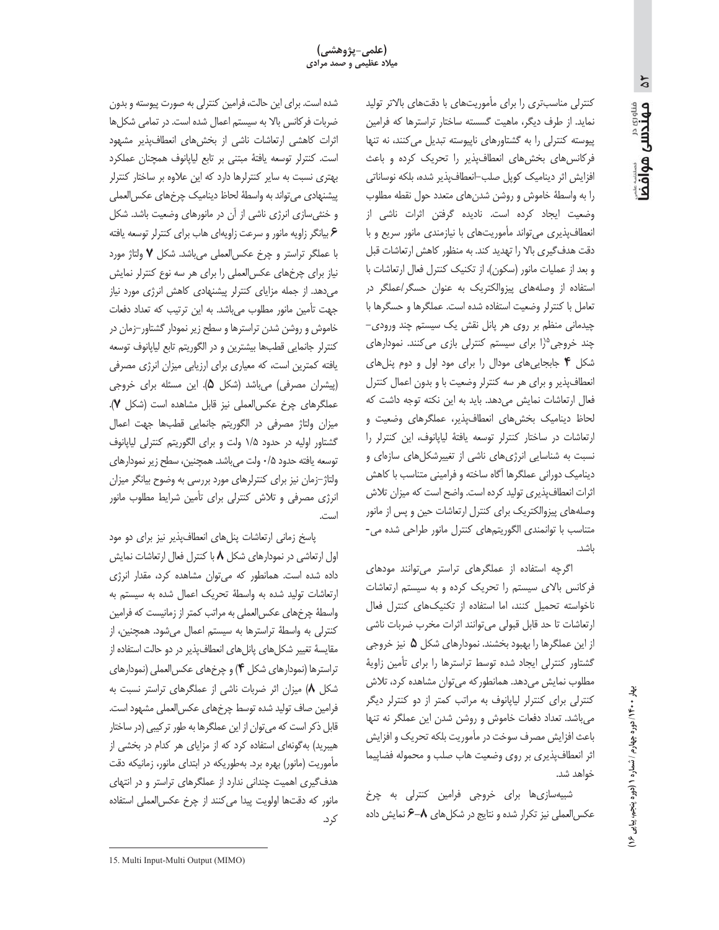کنترلی مناسبتری را برای مأموریتهای با دقتهای بالاتر تولید نماید. از طرف دیگر، ماهیت گسسته ساختار تراسترها که فرامین پیوسته کنترلی را به گشتاورهای ناپیوسته تبدیل می کنند، نه تنها فرکانس های بخش های انعطافپذیر را تحریک کرده و باعث افزایش اثر دینامیک کوپل صلب-انعطافپذیر شده، بلکه نوساناتی را به واسطهٔ خاموش و روشن شدنهای متعدد حول نقطه مطلوب وضعيت ايجاد كرده است. ناديده گرفتن اثرات ناشى از انعطافپذیری می تواند مأموریتهای با نیازمندی مانور سریع و با دقت هدف گیری بالا را تهدید کند. به منظور کاهش ارتعاشات قبل و بعد از عملیات مانور (سکون)، از تکنیک کنترل فعال ارتعاشات با استفاده از وصلههای پیزوالکتریک به عنوان حسگر/عملگر در تعامل با كنترلر وضعيت استفاده شده است. عملگرها و حسگرها با چیدمانی منظم بر روی هر پانل نقش یک سیستم چند ورودی-چند خروجی<sup>10</sup>را برای سیستم کنترلی بازی می کنند. نمودارهای شکل ۴ جابجاییهای مودال را برای مود اول و دوم پنلهای انعطاف پذیر و برای هر سه کنترلر وضعیت با و بدون اعمال کنترل فعال ارتعاشات نمایش میدهد. باید به این نکته توجه داشت که لحاظ دینامیک بخشهای انعطافپذیر، عملگرهای وضعیت و ارتعاشات در ساختار كنترلر توسعه يافتة لياپانوف، اين كنترلر را نسبت به شناسایی انرژیهای ناشی از تغییرشکلهای سازمای و دینامیک دورانی عملگرها آگاه ساخته و فرامینی متناسب با کاهش اثرات انعطافپذیری تولید کرده است. واضح است که میزان تلاش وصلههای پیزوالکتریک برای کنترل ارتعاشات حین و پس از مانور متناسب با توانمندی الگوریتمهای کنترل مانور طراحی شده می-ىاشد.

اگرچه استفاده از عملگرهای تراستر می توانند مودهای فرکانس بالای سیستم را تحریک کرده و به سیستم ارتعاشات ناخواسته تحمیل کنند، اما استفاده از تکنیکهای کنترل فعال ارتعاشات تا حد قابل قبولی میتوانند اثرات مخرب ضربات ناشی از این عملگرها را بهبود بخشند. نمودارهای شکل ۵ نیز خروجی گشتاور كنترلى ايجاد شده توسط تراسترها را براى تأمين زاوية مطلوب نمایش می دهد. همانطور که می توان مشاهده کرد، تلاش کنترلی برای کنترلر لیایانوف به مراتب کمتر از دو کنترلر دیگر می باشد. تعداد دفعات خاموش و روشن شدن این عملگر نه تنها باعث افزایش مصرف سوخت در مأموریت بلکه تحریک و افزایش اثر انعطافپذیری بر روی وضعیت هاب صلب و محموله فضاپیما خواهد شد.

شبیهسازیها برای خروجی فرامین کنترلی به چرخ عکس العملی نیز تکرار شده و نتایج در شکلهای ۸–۶ نمایش داده

شده است. برای این حالت، فرامین کنترلی به صورت پیوسته و بدون ضربات فركانس بالا به سيستم اعمال شده است. در تمامى شكلها اثرات کاهشی ارتعاشات ناشی از بخشهای انعطافپذیر مشهود است. كنترلر توسعه يافتهٔ مبتنى بر تابع لياپانوف همچنان عملكرد بهتری نسبت به سایر کنترلرها دارد که این علاوه بر ساختار کنترلر پیشنهادی می تواند به واسطهٔ لحاظ دینامیک چرخهای عکس|لعملی و خنثی سازی انرژی ناشی از آن در مانورهای وضعیت باشد. شکل ۶ بیانگر زاویه مانور و سرعت زاویهای هاب برای کنترلر توسعه یافته با عملگر تراستر و چرخ عکس العملی می باشد. شکل ۷ ولتاژ مورد نیاز برای چرخهای عکس|لعملی را برای هر سه نوع کنترلر نمایش میدهد. از جمله مزایای کنترلر پیشنهادی کاهش انرژی مورد نیاز جهت تأمین مانور مطلوب میباشد. به این ترتیب که تعداد دفعات خاموش و روشن شدن تراسترها و سطح زیر نمودار گشتاور-زمان در كنترلر جانمايي قطبها بيشترين و در الگوريتم تابع لياپانوف توسعه یافته کمترین است، که معیاری برای ارزیابی میزان انرژی مصرفی (پیشران مصرفی) میباشد (شکل ۵). این مسئله برای خروجی عملكرهاى چرخ عكس العملى نيز قابل مشاهده است (شكل ٧). میزان ولتاژ مصرفی در الگوریتم جانمایی قطبها جهت اعمال گشتاور اولیه در حدود ۱/۵ ولت و برای الگوریتم کنترلی لیاپانوف توسعه يافته حدود ٠/٥ ولت مي باشد. همچنين، سطح زير نمودارهاي ولتاژ-زمان نیز برای کنترلرهای مورد بررسی به وضوح بیانگر میزان انرژی مصرفی و تلاش کنترلی برای تأمین شرایط مطلوب مانور است.

یاسخ زمانی ارتعاشات پنلهای انعطاف پذیر نیز برای دو مود اول ارتعاشی در نمودارهای شکل ٨ با کنترل فعال ارتعاشات نمایش داده شده است. همانطور که می توان مشاهده کرد، مقدار انرژی ارتعاشات تولید شده به واسطة تحریک اعمال شده به سیستم به واسطهٔ چرخهای عکس|لعملی به مراتب کمتر از زمانیست که فرامین كنترلى به واسطة تراسترها به سيستم اعمال مى شود. همچنين، از مقایسهٔ تغییر شکلهای پانلهای انعطافپذیر در دو حالت استفاده از تراسترها (نمودارهای شکل ۴) و چرخهای عکس|لعملی (نمودارهای شکل ٨) میزان اثر ضربات ناشی از عملگرهای تراستر نسبت به فرامین صاف تولید شده توسط چرخهای عکس|لعملی مشهود است. قابل ذکر است که می توان از این عملگرها به طور ترکیبی (در ساختار هیبرید) به گونهای استفاده کرد که از مزایای هر کدام در بخشی از مأموریت (مانور) بهره برد. بهطوریکه در ابتدای مانور، زمانیکه دقت هدف گیری اهمیت چندانی ندارد از عملگرهای تراستر و در انتهای مانور كه دقتها اولويت پيدا مىكنند از چرخ عكس|لعملى استفاده کړ د.

<sup>15.</sup> Multi Input-Multi Output (MIMO)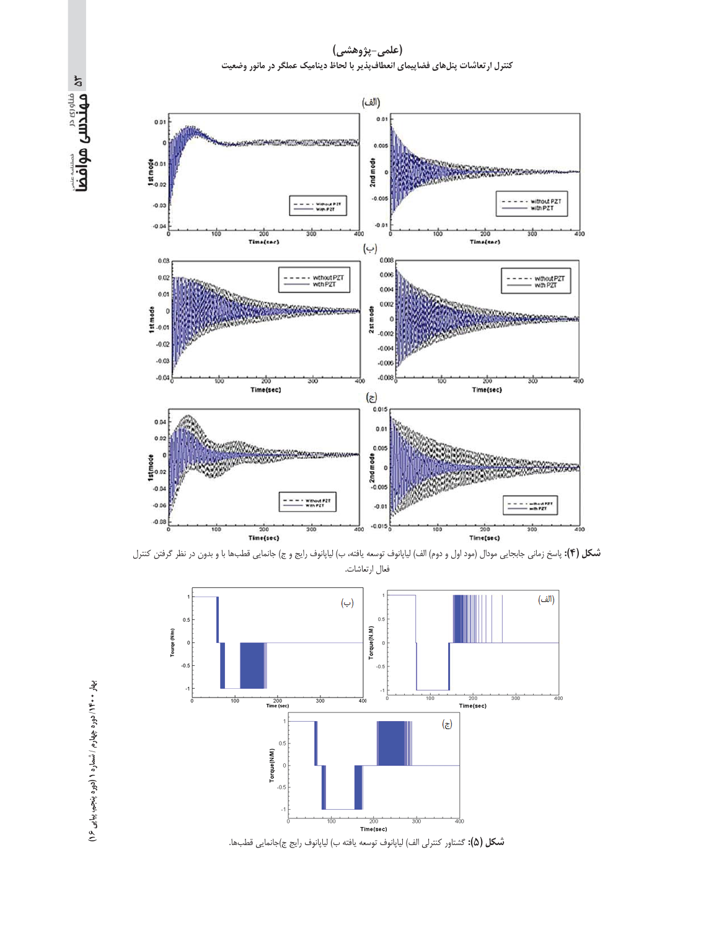(علمی-پژوهشی) کنترل ار تعاشات پنلهای فضاپیمای انعطاف،پذیر با لحاظ دینامیک عملگر در مانور وضعیت



شکل (۴): پاسخ زمانی جابجایی مودال (مود اول و دوم) الف) لیاپانوف توسعه یافته، ب) لیاپانوف رایج و ج) جانمایی قطبها با و بدون در نظر گرفتن کنترل فعال ارتعاشات.



**شكل (۵):** گشتاور كنترلى الف) لياپانوف توسعه يافته ب) لياپانوف رايج ج)جانمايي قطبها.

بهار ۱۴۰۰/ دوره چهارم / شماره ۱ (دوره پنجم، پیاپی ۱۶)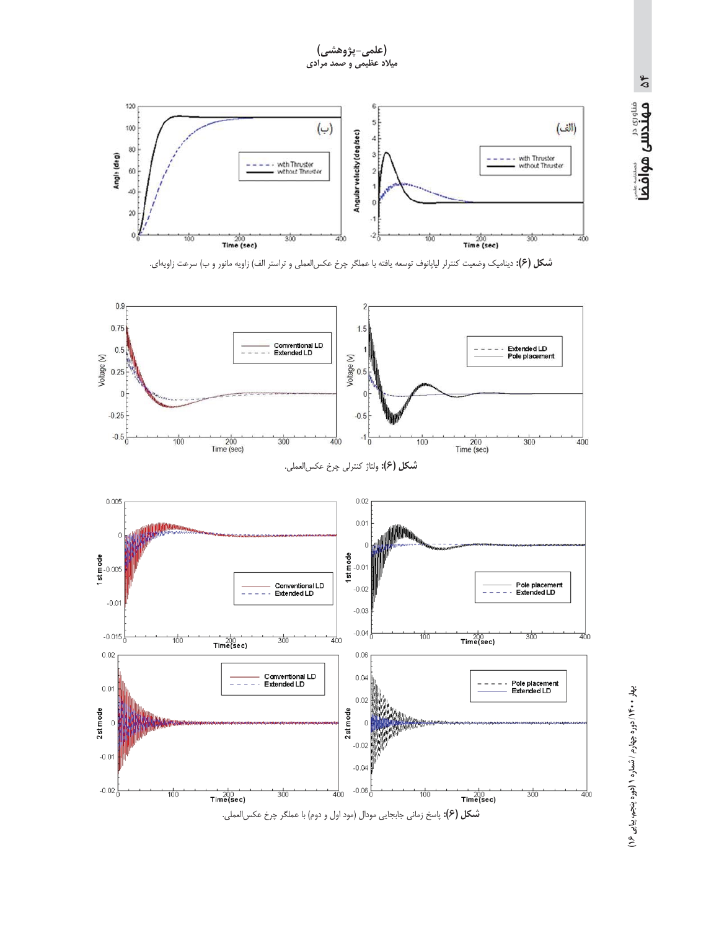<mark>(علمی–پژوهشی)</mark><br>میلاد عظیمی و صمد مراه



**شکل (۶):** دینامیک وضعیت کنترلر لیاپانوف توسعه یافته با عملگر چرخ عکس|لعملی و تراستر الف) زاویه مانور و ب) سرعت زاویهای.



بهار ۱۴۰۰/ دوره چهارم / شماره ۱ (دوره پنجم، پیاپی ۱۶)

 $\delta^*$ 

<sup>مناوری در</sup><br>**مهندسی هوافضا**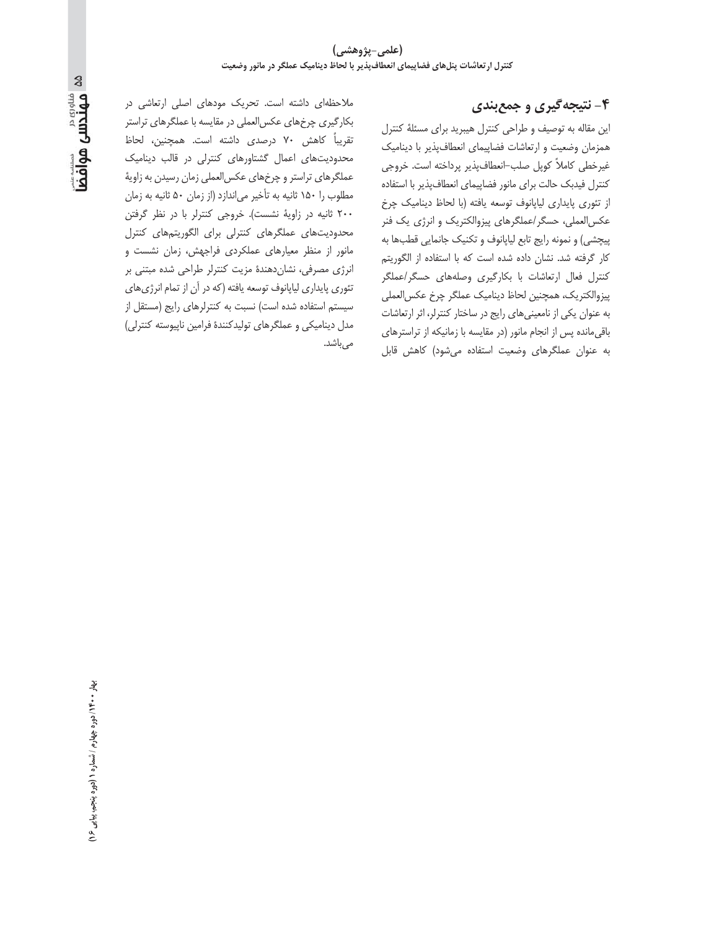#### (علمی-پژوهشی) کنترل ار تعاشات پنلهای فضاپیمای انعطافپذیر با لحاظ دینامیک عملگر در مانور وضعیت

# ۴- نتیجهگیری و جمع بندی

این مقاله به توصیف و طراحی کنترل هیبرید برای مسئلهٔ کنترل همزمان وضعيت وارتعاشات فضاپيماى انعطاف پذير با ديناميك غيرخطي كاملاً كوپل صلب–انعطاف،پذير پرداخته است. خروجي كنترل فيدبك حالت براى مانور فضاپيماى انعطاف پذير با استفاده از تئوري پايداري لياپانوف توسعه يافته (با لحاظ ديناميک چرخ عکسالعملی، حسگر /عملگرهای پیزوالکتریک و انرژی یک فنر پیچشی) و نمونه رایج تابع لیاپانوف و تکنیک جانمایی قطبها به كار گرفته شد. نشان داده شده است كه با استفاده از الگوريتم كنترل فعال ارتعاشات با بكاركيرى وصلههاى حسكر/عملكر پيزوالكتريك، همچنين لحاظ ديناميك عملگر چرخ عكسالعملي به عنوان یکی از نامعینیهای رایج در ساختار کنترلر، اثر ارتعاشات باقی مانده پس از انجام مانور (در مقایسه با زمانیکه از تراسترهای به عنوان عملگرهای وضعیت استفاده میشود) کاهش قابل

ملاحظهای داشته است. تحریک مودهای اصلی ارتعاشی در بکارگیری چرخهای عکس|لعملی در مقایسه با عملگرهای تراستر تقریباً کاهش ۷۰ درصدی داشته است. همچنین، لحاظ محدودیتهای اعمال گشتاورهای کنترلی در قالب دینامیک عملگرهای تراستر و چرخهای عکس|لعملی زمان رسیدن به زاویهٔ مطلوب را ١٥٠ ثانيه به تأخير مى اندازد (از زمان ٥٠ ثانيه به زمان ٢٠٠ ثانيه در زاوية نشست). خروجي كنترلر با در نظر گرفتن محدودیتهای عملگرهای کنترلی برای الگوریتمهای کنترل مانور از منظر معیارهای عملکردی فراجهش، زمان نشست و انرژی مصرفی، نشاندهندهٔ مزیت کنترلر طراحی شده مبتنی بر تئوري پايداري لياپانوف توسعه يافته (كه در أن از تمام انرژيهاي سیستم استفاده شده است) نسبت به کنترلرهای رایج (مستقل از مدل دینامیکی و عملگرهای تولیدکنندهٔ فرامین ناپیوسته کنترلی) می،باشد.